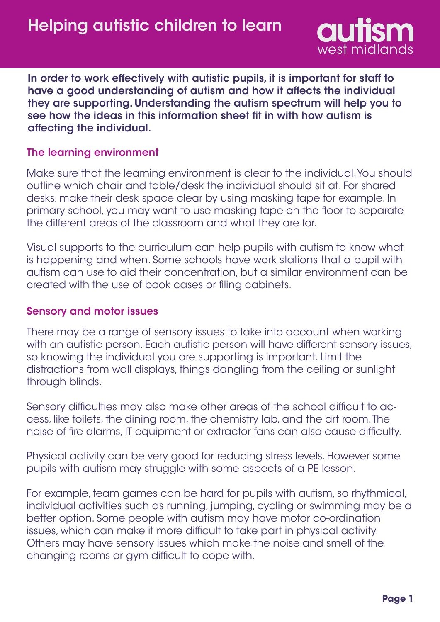

In order to work effectively with autistic pupils, it is important for staff to have a good understanding of autism and how it affects the individual they are supporting. Understanding the autism spectrum will help you to see how the ideas in this information sheet fit in with how autism is affecting the individual.

### The learning environment

Make sure that the learning environment is clear to the individual. You should outline which chair and table/desk the individual should sit at. For shared desks, make their desk space clear by using masking tape for example. In primary school, you may want to use masking tape on the floor to separate the different areas of the classroom and what they are for.

Visual supports to the curriculum can help pupils with autism to know what is happening and when. Some schools have work stations that a pupil with autism can use to aid their concentration, but a similar environment can be created with the use of book cases or filing cabinets.

#### Sensory and motor issues

There may be a range of sensory issues to take into account when working with an autistic person. Each autistic person will have different sensory issues, so knowing the individual you are supporting is important. Limit the distractions from wall displays, things dangling from the ceiling or sunlight through blinds.

Sensory difficulties may also make other areas of the school difficult to access, like toilets, the dining room, the chemistry lab, and the art room. The noise of fire alarms, IT equipment or extractor fans can also cause difficulty.

Physical activity can be very good for reducing stress levels. However some pupils with autism may struggle with some aspects of a PE lesson.

For example, team games can be hard for pupils with autism, so rhythmical, individual activities such as running, jumping, cycling or swimming may be a better option. Some people with autism may have motor co-ordination issues, which can make it more difficult to take part in physical activity. Others may have sensory issues which make the noise and smell of the changing rooms or gym difficult to cope with.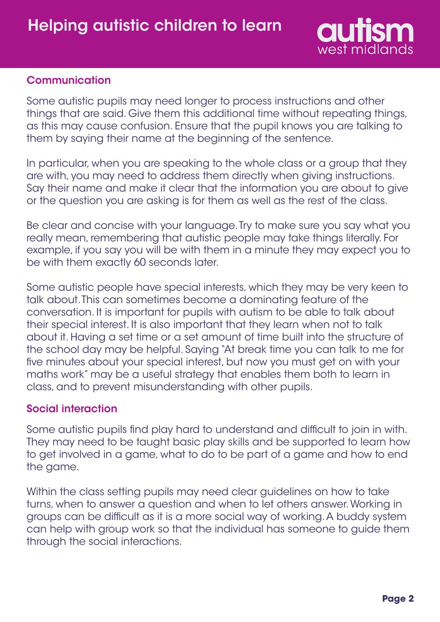

## **Communication**

Some autistic pupils may need longer to process instructions and other things that are said. Give them this additional time without repeating things, as this may cause confusion. Ensure that the pupil knows you are talking to them by saying their name at the beginning of the sentence.

In particular, when you are speaking to the whole class or a group that they are with, you may need to address them directly when giving instructions. Say their name and make it clear that the information you are about to give or the question you are asking is for them as well as the rest of the class.

Be clear and concise with your language. Try to make sure you say what you really mean, remembering that autistic people may take things literally. For example, if you say you will be with them in a minute they may expect you to be with them exactly 60 seconds later.

Some autistic people have special interests, which they may be very keen to talk about. This can sometimes become a dominating feature of the conversation. It is important for pupils with autism to be able to talk about their special interest. It is also important that they learn when not to talk about it. Having a set time or a set amount of time built into the structure of the school day may be helpful. Saying "At break time you can talk to me for five minutes about your special interest, but now you must get on with your maths work" may be a useful strategy that enables them both to learn in class, and to prevent misunderstanding with other pupils.

## Social interaction

Some autistic pupils find play hard to understand and difficult to join in with. They may need to be taught basic play skills and be supported to learn how to get involved in a game, what to do to be part of a game and how to end the game.

Within the class setting pupils may need clear guidelines on how to take turns, when to answer a question and when to let others answer. Working in groups can be difficult as it is a more social way of working. A buddy system can help with group work so that the individual has someone to guide them through the social interactions.